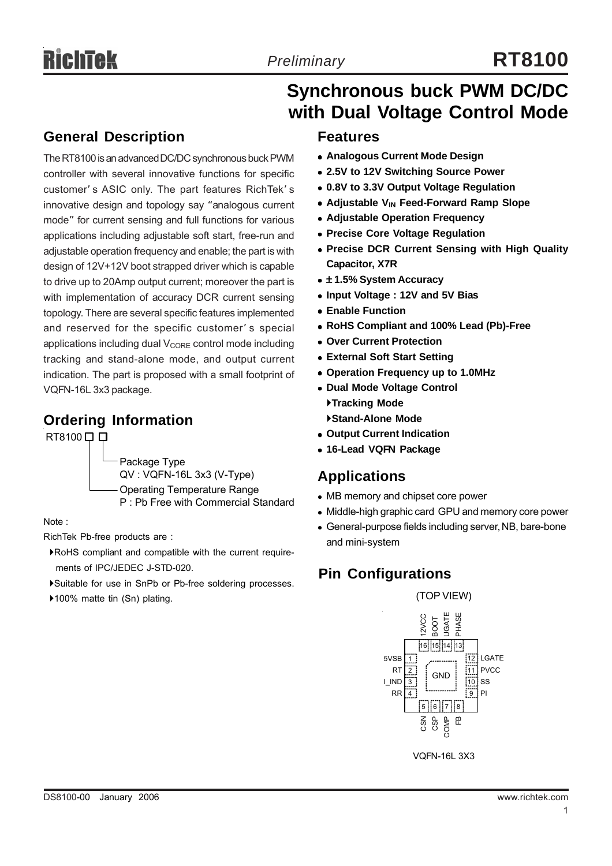# **Synchronous buck PWM DC/DC with Dual Voltage Control Mode**

### **General Description**

The RT8100 is an advanced DC/DC synchronous buck PWM controller with several innovative functions for specific customer' s ASIC only. The part features RichTek' s innovative design and topology say "analogous current mode" for current sensing and full functions for various applications including adjustable soft start, free-run and adjustable operation frequency and enable; the part is with design of 12V+12V boot strapped driver which is capable to drive up to 20Amp output current; moreover the part is with implementation of accuracy DCR current sensing topology. There are several specific features implemented and reserved for the specific customer' s special applications including dual  $V_{\text{CORE}}$  control mode including tracking and stand-alone mode, and output current indication. The part is proposed with a small footprint of VQFN-16L 3x3 package.

### **Ordering Information**

RT8100□□

Package Type QV : VQFN-16L 3x3 (V-Type) Operating Temperature Range P : Pb Free with Commercial Standard

Note :

RichTek Pb-free products are :

- `RoHS compliant and compatible with the current require ments of IPC/JEDEC J-STD-020.
- `Suitable for use in SnPb or Pb-free soldering processes.

▶100% matte tin (Sn) plating.

### **Features**

- **Analogous Current Mode Design**
- $\bullet$  **2.5V to 12V Switching Source Power**
- <sup>z</sup> **0.8V to 3.3V Output Voltage Regulation**
- **Adjustable V<sub>IN</sub> Feed-Forward Ramp Slope**
- **Adjustable Operation Frequency**
- **Precise Core Voltage Regulation**
- **Precise DCR Current Sensing with High Quality Capacitor, X7R**
- <sup>z</sup> ± **1.5% System Accuracy**
- <sup>z</sup> **Input Voltage : 12V and 5V Bias**
- **Enable Function**
- <sup>z</sup> **RoHS Compliant and 100% Lead (Pb)-Free**
- <sup>z</sup> **Over Current Protection**
- **External Soft Start Setting**
- <sup>z</sup> **Operation Frequency up to 1.0MHz**
- **Dual Mode Voltage Control** `**Tracking Mode** `**Stand-Alone Mode**
- $\bullet$  **Output Current Indication**
- <sup>z</sup> **16-Lead VQFN Package**

### **Applications**

- MB memory and chipset core power
- Middle-high graphic card GPU and memory core power
- General-purpose fields including server, NB, bare-bone and mini-system

### **Pin Configurations**



VQFN-16L 3X3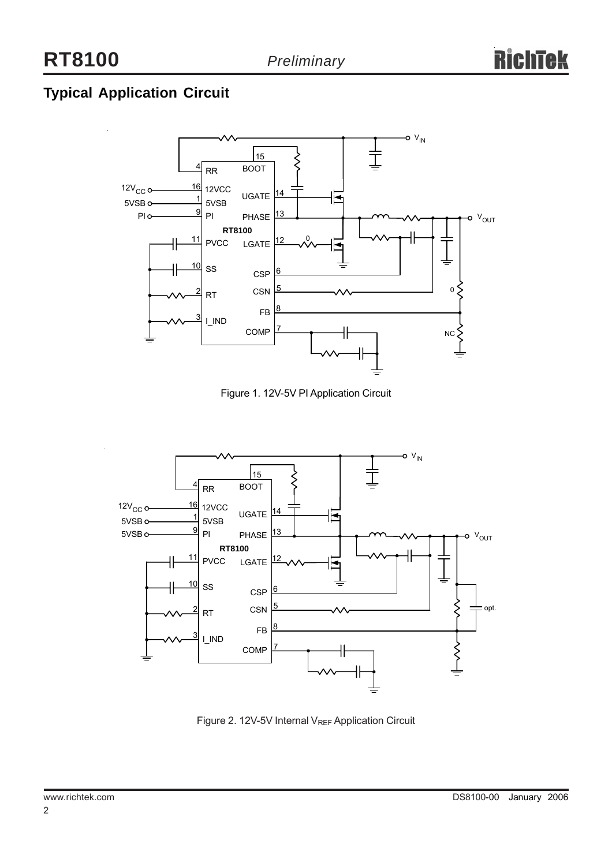## **Typical Application Circuit**



Figure 1. 12V-5V PI Application Circuit



Figure 2. 12V-5V Internal V<sub>REF</sub> Application Circuit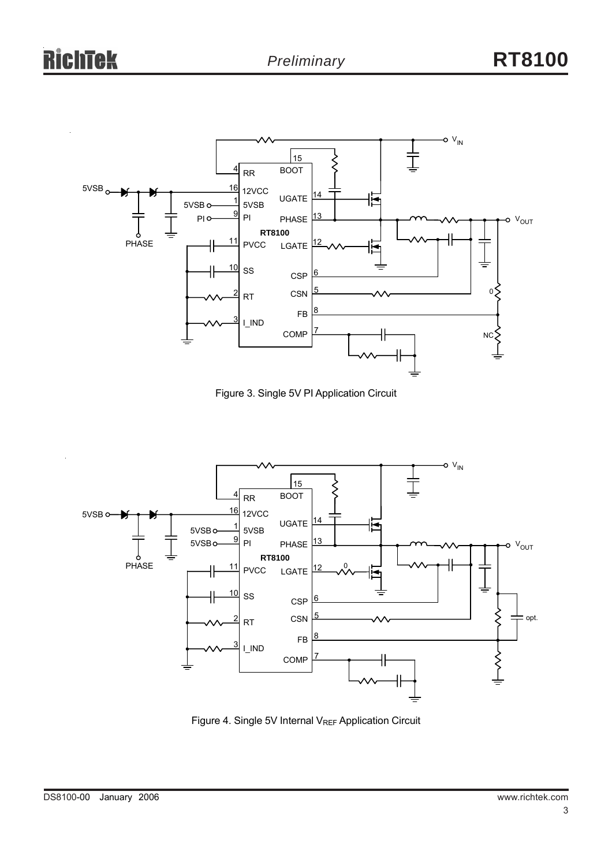

Figure 3. Single 5V PI Application Circuit



Figure 4. Single 5V Internal V<sub>REF</sub> Application Circuit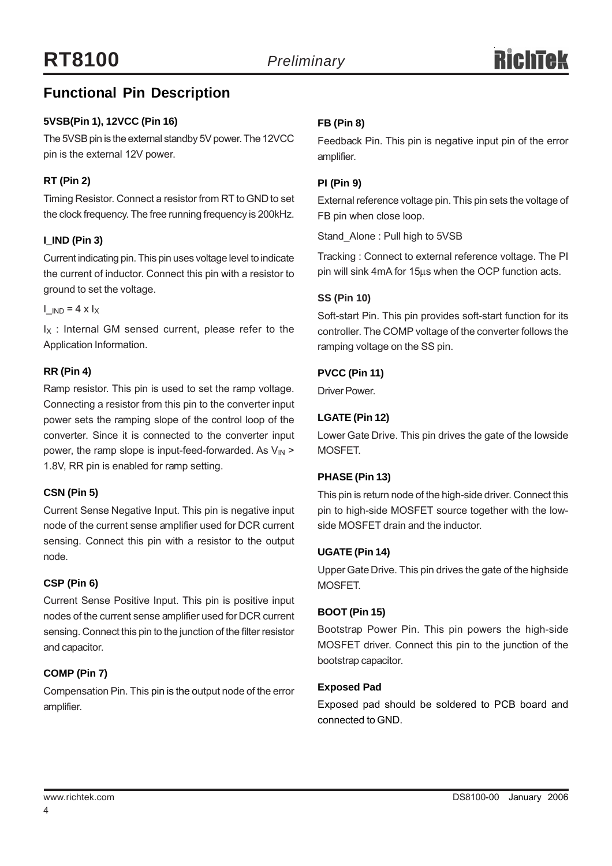### **Functional Pin Description**

### **5VSB(Pin 1), 12VCC (Pin 16)**

The 5VSB pin is the external standby 5V power. The 12VCC pin is the external 12V power.

### **RT (Pin 2)**

Timing Resistor. Connect a resistor from RT to GND to set the clock frequency. The free running frequency is 200kHz.

### **I\_IND (Pin 3)**

Current indicating pin. This pin uses voltage level to indicate the current of inductor. Connect this pin with a resistor to ground to set the voltage.

 $I_{\text{END}} = 4 \times I_X$ 

 $I_X$ : Internal GM sensed current, please refer to the Application Information.

### **RR (Pin 4)**

Ramp resistor. This pin is used to set the ramp voltage. Connecting a resistor from this pin to the converter input power sets the ramping slope of the control loop of the converter. Since it is connected to the converter input power, the ramp slope is input-feed-forwarded. As  $V_{\text{IN}}$  > 1.8V, RR pin is enabled for ramp setting.

### **CSN (Pin 5)**

Current Sense Negative Input. This pin is negative input node of the current sense amplifier used for DCR current sensing. Connect this pin with a resistor to the output node.

### **CSP (Pin 6)**

Current Sense Positive Input. This pin is positive input nodes of the current sense amplifier used for DCR current sensing. Connect this pin to the junction of the filter resistor and capacitor.

### **COMP (Pin 7)**

Compensation Pin. This pin is the output node of the error amplifier.

### **FB (Pin 8)**

Feedback Pin. This pin is negative input pin of the error amplifier.

### **PI (Pin 9)**

External reference voltage pin. This pin sets the voltage of FB pin when close loop.

Stand\_Alone : Pull high to 5VSB

Tracking : Connect to external reference voltage. The PI pin will sink 4mA for 15μs when the OCP function acts.

### **SS (Pin 10)**

Soft-start Pin. This pin provides soft-start function for its controller. The COMP voltage of the converter follows the ramping voltage on the SS pin.

### **PVCC (Pin 11)**

Driver Power.

### **LGATE (Pin 12)**

Lower Gate Drive. This pin drives the gate of the lowside MOSFET.

### **PHASE (Pin 13)**

This pin is return node of the high-side driver. Connect this pin to high-side MOSFET source together with the lowside MOSFET drain and the inductor.

### **UGATE (Pin 14)**

Upper Gate Drive. This pin drives the gate of the highside MOSFET.

### **BOOT (Pin 15)**

Bootstrap Power Pin. This pin powers the high-side MOSFET driver. Connect this pin to the junction of the bootstrap capacitor.

### **Exposed Pad**

Exposed pad should be soldered to PCB board and connected to GND.

4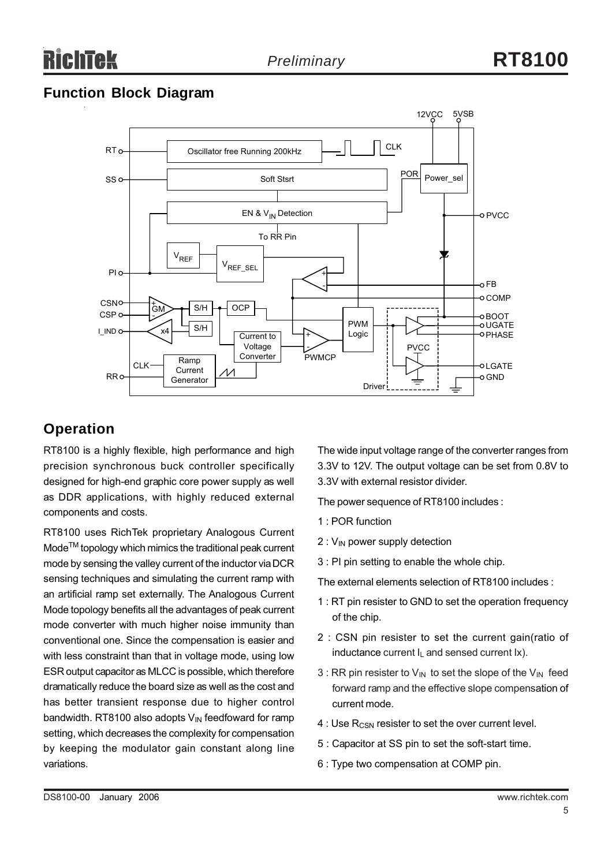### **Function Block Diagram**



### **Operation**

RT8100 is a highly flexible, high performance and high precision synchronous buck controller specifically designed for high-end graphic core power supply as well as DDR applications, with highly reduced external components and costs.

RT8100 uses RichTek proprietary Analogous Current Mode<sup>™</sup> topology which mimics the traditional peak current mode by sensing the valley current of the inductor via DCR sensing techniques and simulating the current ramp with an artificial ramp set externally. The Analogous Current Mode topology benefits all the advantages of peak current mode converter with much higher noise immunity than conventional one. Since the compensation is easier and with less constraint than that in voltage mode, using low ESR output capacitor as MLCC is possible, which therefore dramatically reduce the board size as well as the cost and has better transient response due to higher control bandwidth. RT8100 also adopts  $V_{\text{IN}}$  feedfoward for ramp setting, which decreases the complexity for compensation by keeping the modulator gain constant along line variations.

The wide input voltage range of the converter ranges from 3.3V to 12V. The output voltage can be set from 0.8V to 3.3V with external resistor divider.

The power sequence of RT8100 includes :

- 1 : POR function
- $2:V_{\text{IN}}$  power supply detection
- 3 : PI pin setting to enable the whole chip.

The external elements selection of RT8100 includes :

- 1 : RT pin resister to GND to set the operation frequency of the chip.
- 2 : CSN pin resister to set the current gain(ratio of inductance current  $I_L$  and sensed current  $Ix$ ).
- 3 : RR pin resister to  $V_{IN}$  to set the slope of the  $V_{IN}$  feed forward ramp and the effective slope compensation of current mode.
- 4 : Use R<sub>CSN</sub> resister to set the over current level.
- 5 : Capacitor at SS pin to set the soft-start time.
- 6 : Type two compensation at COMP pin.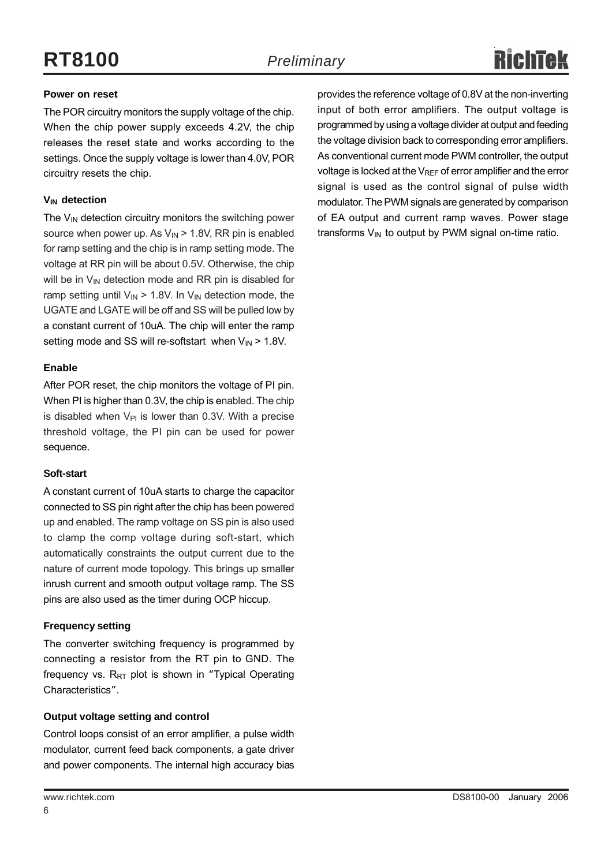### **Power on reset**

The POR circuitry monitors the supply voltage of the chip. When the chip power supply exceeds 4.2V, the chip releases the reset state and works according to the settings. Once the supply voltage is lower than 4.0V, POR circuitry resets the chip.

### **V<sub>IN</sub>** detection

The  $V_{IN}$  detection circuitry monitors the switching power source when power up. As  $V_{\text{IN}}$  > 1.8V, RR pin is enabled for ramp setting and the chip is in ramp setting mode. The voltage at RR pin will be about 0.5V. Otherwise, the chip will be in  $V_{IN}$  detection mode and RR pin is disabled for ramp setting until  $V_{IN}$  > 1.8V. In  $V_{IN}$  detection mode, the UGATE and LGATE will be off and SS will be pulled low by a constant current of 10uA. The chip will enter the ramp setting mode and SS will re-softstart when  $V_{IN}$  > 1.8V.

### **Enable**

After POR reset, the chip monitors the voltage of PI pin. When PI is higher than 0.3V, the chip is enabled. The chip is disabled when  $V_{PI}$  is lower than 0.3V. With a precise threshold voltage, the PI pin can be used for power sequence.

### **Soft-start**

A constant current of 10uA starts to charge the capacitor connected to SS pin right after the chip has been powered up and enabled. The ramp voltage on SS pin is also used to clamp the comp voltage during soft-start, which automatically constraints the output current due to the nature of current mode topology. This brings up smaller inrush current and smooth output voltage ramp. The SS pins are also used as the timer during OCP hiccup.

### **Frequency setting**

The converter switching frequency is programmed by connecting a resistor from the RT pin to GND. The frequency vs.  $R_{RT}$  plot is shown in "Typical Operating Characteristics".

### **Output voltage setting and control**

Control loops consist of an error amplifier, a pulse width modulator, current feed back components, a gate driver and power components. The internal high accuracy bias provides the reference voltage of 0.8V at the non-inverting input of both error amplifiers. The output voltage is programmed by using a voltage divider at output and feeding the voltage division back to corresponding error amplifiers. As conventional current mode PWM controller, the output voltage is locked at the  $V_{REF}$  of error amplifier and the error signal is used as the control signal of pulse width modulator. The PWM signals are generated by comparison of EA output and current ramp waves. Power stage transforms  $V_{IN}$  to output by PWM signal on-time ratio.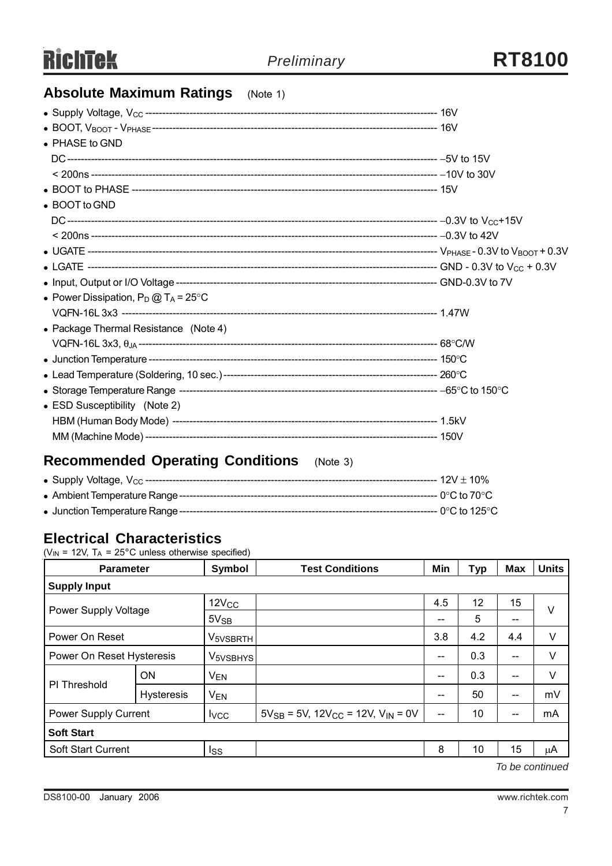### **Absolute Maximum Ratings** (Note 1)

| • PHASE to GND                                 |  |  |  |  |  |  |
|------------------------------------------------|--|--|--|--|--|--|
|                                                |  |  |  |  |  |  |
|                                                |  |  |  |  |  |  |
|                                                |  |  |  |  |  |  |
| • BOOT to GND                                  |  |  |  |  |  |  |
|                                                |  |  |  |  |  |  |
|                                                |  |  |  |  |  |  |
|                                                |  |  |  |  |  |  |
|                                                |  |  |  |  |  |  |
|                                                |  |  |  |  |  |  |
| • Power Dissipation, $P_D @ T_A = 25^{\circ}C$ |  |  |  |  |  |  |
|                                                |  |  |  |  |  |  |
| • Package Thermal Resistance (Note 4)          |  |  |  |  |  |  |
|                                                |  |  |  |  |  |  |
|                                                |  |  |  |  |  |  |
|                                                |  |  |  |  |  |  |
|                                                |  |  |  |  |  |  |
| • ESD Susceptibility (Note 2)                  |  |  |  |  |  |  |
|                                                |  |  |  |  |  |  |
|                                                |  |  |  |  |  |  |
|                                                |  |  |  |  |  |  |

### **Recommended Operating Conditions** (Note 3)

### **Electrical Characteristics**

( $V_{IN}$  = 12V,  $T_A$  = 25°C unless otherwise specified)

| <b>Parameter</b>                                                                          |                   | Symbol               | <b>Test Conditions</b> | Min | <b>Typ</b> | <b>Max</b> | <b>Units</b> |  |
|-------------------------------------------------------------------------------------------|-------------------|----------------------|------------------------|-----|------------|------------|--------------|--|
| <b>Supply Input</b>                                                                       |                   |                      |                        |     |            |            |              |  |
| Power Supply Voltage                                                                      |                   | 12V <sub>CC</sub>    |                        | 4.5 | 12         | 15         | $\vee$       |  |
|                                                                                           |                   | $5V_{SB}$            |                        | --  | 5          | --         |              |  |
| Power On Reset                                                                            |                   | V <sub>5VSBRTH</sub> |                        | 3.8 | 4.2        | 4.4        | V            |  |
| Power On Reset Hysteresis                                                                 |                   | V <sub>5VSBHYS</sub> |                        | --  | 0.3        | $-$        | V            |  |
|                                                                                           | <b>ON</b>         | <b>VEN</b>           |                        | --  | 0.3        | $-$        | V            |  |
| PI Threshold                                                                              | <b>Hysteresis</b> | <b>VEN</b>           |                        | --  | 50         | $- -$      | mV           |  |
| Power Supply Current<br>$5V_{SB} = 5V$ , $12V_{CC} = 12V$ , $V_{IN} = 0V$<br><b>I</b> vcc |                   | $\qquad \qquad -$    | 10                     | --  | mA         |            |              |  |
| <b>Soft Start</b>                                                                         |                   |                      |                        |     |            |            |              |  |
| <b>Soft Start Current</b>                                                                 |                   | lss                  |                        | 8   | 10         | 15         | μA           |  |

*To be continued*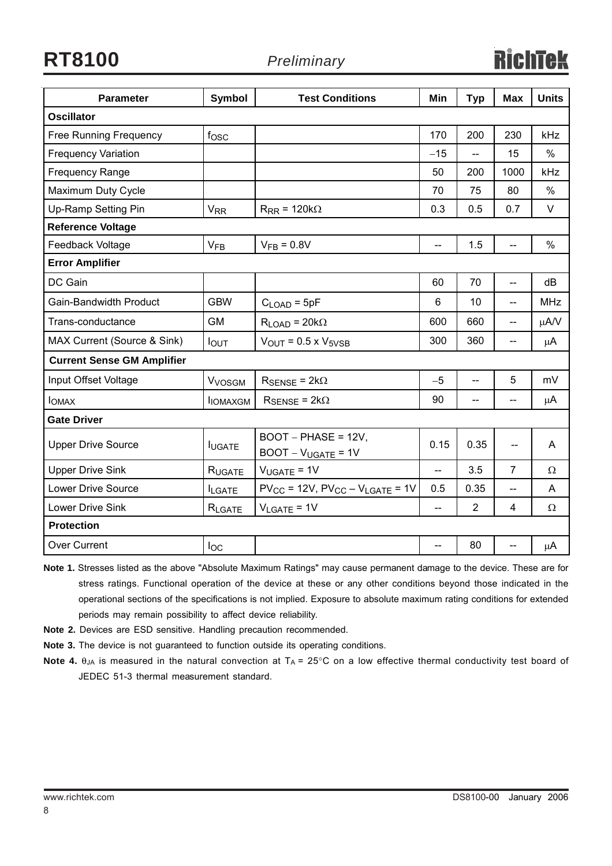**RT8100** *Preliminary*

| <b>Parameter</b>                  | Symbol                    | <b>Test Conditions</b>                        | Min   | <b>Typ</b>     | <b>Max</b>               | <b>Units</b> |  |  |
|-----------------------------------|---------------------------|-----------------------------------------------|-------|----------------|--------------------------|--------------|--|--|
| <b>Oscillator</b>                 |                           |                                               |       |                |                          |              |  |  |
| <b>Free Running Frequency</b>     | $f_{\rm OSC}$             |                                               | 170   | 200            | 230                      | <b>kHz</b>   |  |  |
| <b>Frequency Variation</b>        |                           |                                               | $-15$ | $\overline{a}$ | 15                       | $\%$         |  |  |
| <b>Frequency Range</b>            |                           |                                               | 50    | 200            | 1000                     | kHz          |  |  |
| Maximum Duty Cycle                |                           |                                               | 70    | 75             | 80                       | $\%$         |  |  |
| Up-Ramp Setting Pin               | <b>V<sub>RR</sub></b>     | $R_{RR}$ = 120k $\Omega$                      | 0.3   | 0.5            | 0.7                      | V            |  |  |
| <b>Reference Voltage</b>          |                           |                                               |       |                |                          |              |  |  |
| Feedback Voltage                  | V <sub>FB</sub>           | $V_{FB} = 0.8V$                               | --    | 1.5            | $-$                      | $\%$         |  |  |
| <b>Error Amplifier</b>            |                           |                                               |       |                |                          |              |  |  |
| DC Gain                           |                           |                                               | 60    | 70             | $\overline{\phantom{a}}$ | dB           |  |  |
| Gain-Bandwidth Product            | <b>GBW</b>                | $CLOAD = 5pF$                                 | 6     | 10             | $-$                      | <b>MHz</b>   |  |  |
| Trans-conductance                 | <b>GM</b>                 | $R_{LOAD} = 20k\Omega$                        | 600   | 660            | $\overline{a}$           | μA/V         |  |  |
| MAX Current (Source & Sink)       | <b>I</b> OUT              | $V_{\text{OUT}}$ = 0.5 x $V_{5VSB}$           | 300   | 360            | $-$                      | μA           |  |  |
| <b>Current Sense GM Amplifier</b> |                           |                                               |       |                |                          |              |  |  |
| Input Offset Voltage              | <b>V</b> <sub>VOSGM</sub> | $R_{\text{SENSE}} = 2k\Omega$                 | $-5$  | --             | 5                        | mV           |  |  |
| <b>I</b> OMAX                     | <b>IOMAXGM</b>            | $R_{\text{SENSE}} = 2k\Omega$                 | 90    | $-$            | $-$                      | μA           |  |  |
| <b>Gate Driver</b>                |                           |                                               |       |                |                          |              |  |  |
| <b>Upper Drive Source</b>         | <b>IUGATE</b>             | $BOOT - PHASE = 12V$<br>$BOOT - VUGATE = 1V$  | 0.15  | 0.35           | $\sim$                   | A            |  |  |
| <b>Upper Drive Sink</b>           | RUGATE                    | $V_{UGATE} = 1V$                              | $-$   | 3.5            | $\overline{7}$           | Ω            |  |  |
| Lower Drive Source                | <b>ILGATE</b>             | $PV_{CC}$ = 12V, $PV_{CC}$ – $V_{LGATE}$ = 1V | 0.5   | 0.35           |                          | A            |  |  |
| Lower Drive Sink                  | RLGATE                    | $V_{LGATE} = 1V$                              |       | $\overline{2}$ | 4                        | Ω            |  |  |
| <b>Protection</b>                 |                           |                                               |       |                |                          |              |  |  |
| <b>Over Current</b>               | loc                       |                                               |       | 80             |                          | μA           |  |  |

**Note 1.** Stresses listed as the above "Absolute Maximum Ratings" may cause permanent damage to the device. These are for stress ratings. Functional operation of the device at these or any other conditions beyond those indicated in the operational sections of the specifications is not implied. Exposure to absolute maximum rating conditions for extended periods may remain possibility to affect device reliability.

- **Note 2.** Devices are ESD sensitive. Handling precaution recommended.
- **Note 3.** The device is not guaranteed to function outside its operating conditions.
- **Note 4.**  $\theta_{JA}$  is measured in the natural convection at  $T_A = 25^{\circ}$ C on a low effective thermal conductivity test board of JEDEC 51-3 thermal measurement standard.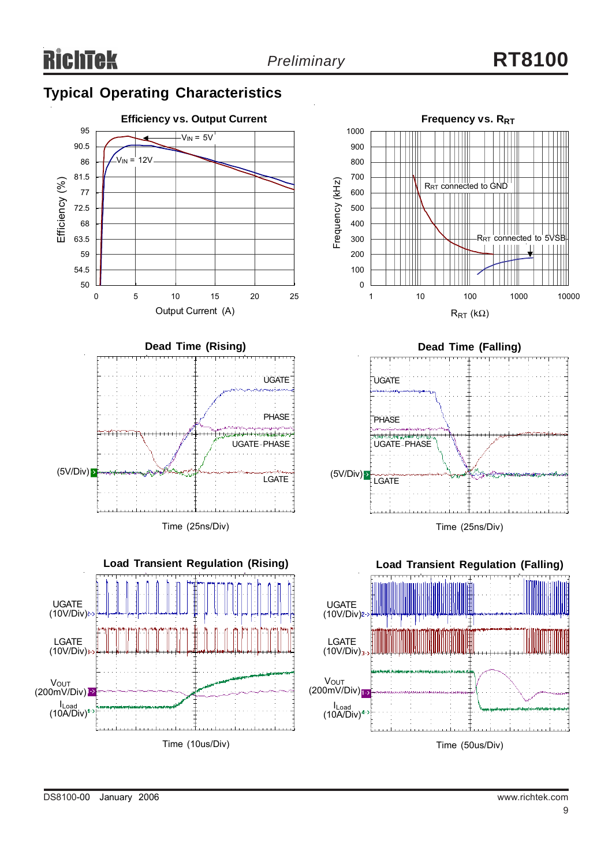# *Preliminary* **RT8100**

### **Typical Operating Characteristics**

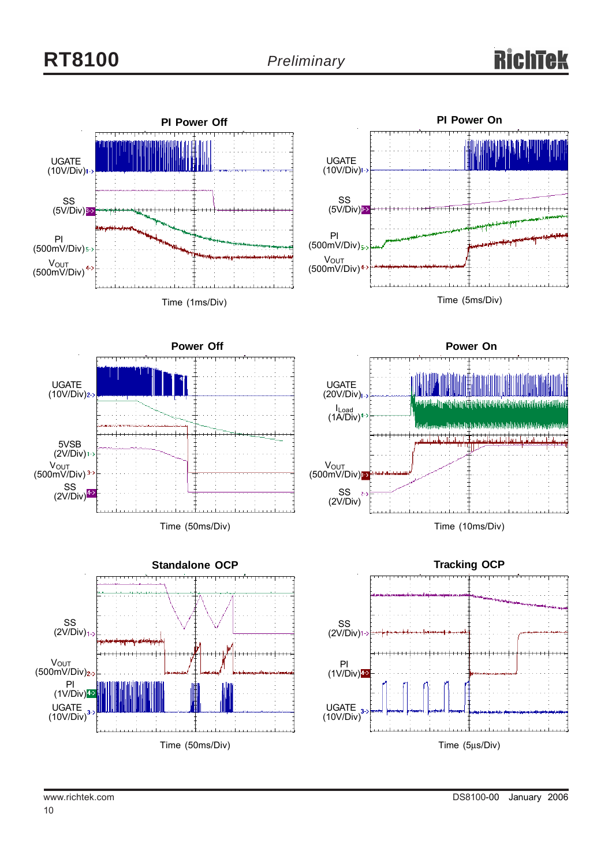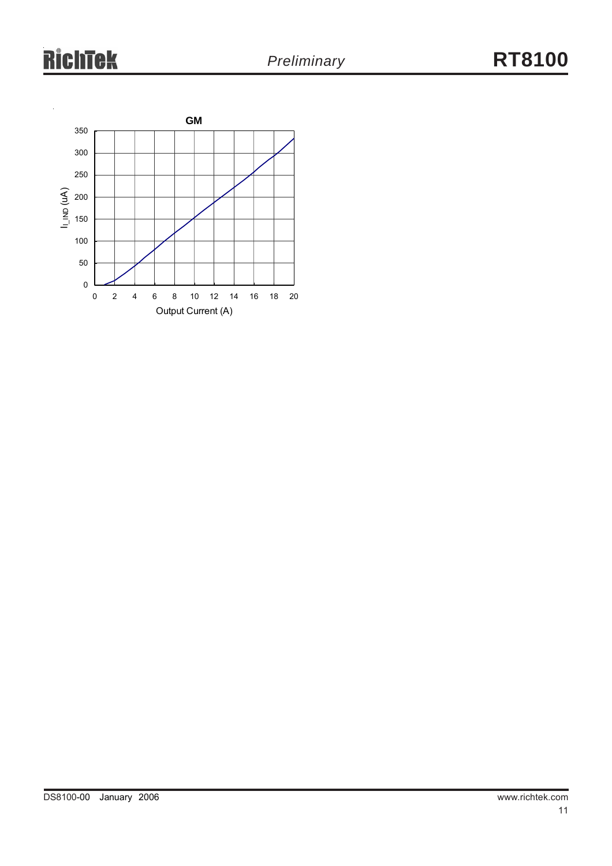# **RichTek**

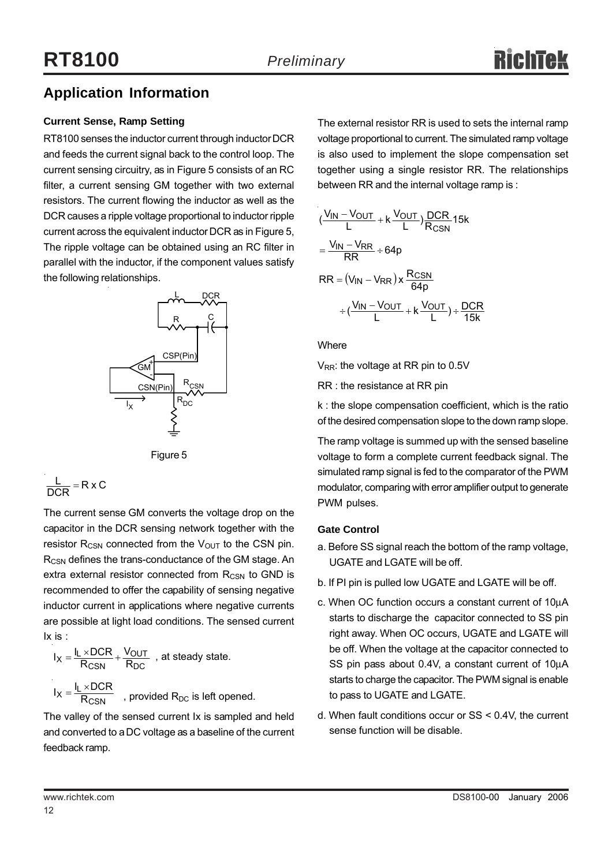### **Application Information**

### **Current Sense, Ramp Setting**

RT8100 senses the inductor current through inductor DCR and feeds the current signal back to the control loop. The current sensing circuitry, as in Figure 5 consists of an RC filter, a current sensing GM together with two external resistors. The current flowing the inductor as well as the DCR causes a ripple voltage proportional to inductor ripple current across the equivalent inductor DCR as in Figure 5, The ripple voltage can be obtained using an RC filter in parallel with the inductor, if the component values satisfy the following relationships.





$$
\frac{L}{DCR} = R \times C
$$

The current sense GM converts the voltage drop on the capacitor in the DCR sensing network together with the resistor  $R_{CSN}$  connected from the  $V_{OUT}$  to the CSN pin. R<sub>CSN</sub> defines the trans-conductance of the GM stage. An extra external resistor connected from R<sub>CSN</sub> to GND is recommended to offer the capability of sensing negative inductor current in applications where negative currents are possible at light load conditions. The sensed current Ix is :

$$
I_X = \frac{I_L \times DCR}{R_{CSN}} + \frac{V_{OUT}}{R_{DC}}
$$
, at steady state.  

$$
I_X = \frac{I_L \times DCR}{R_{CSN}}
$$
, provided R<sub>DC</sub> is left opened.

The valley of the sensed current Ix is sampled and held and converted to a DC voltage as a baseline of the current feedback ramp.

The external resistor RR is used to sets the internal ramp voltage proportional to current. The simulated ramp voltage is also used to implement the slope compensation set together using a single resistor RR. The relationships between RR and the internal voltage ramp is :

$$
(\frac{V_{IN} - V_{OUT}}{L} + k \frac{V_{OUT}}{L})\frac{DCR}{R_{CSN}}15k
$$
  
= 
$$
\frac{V_{IN} - V_{RR}}{RR} \div 64p
$$
  
RR = 
$$
(V_{IN} - V_{RR}) \times \frac{R_{CSN}}{64p}
$$
  

$$
\div (\frac{V_{IN} - V_{OUT}}{L} + k \frac{V_{OUT}}{L}) \div \frac{DCR}{15k}
$$

**Where** 

 $V_{RR}$ : the voltage at RR pin to 0.5V

RR : the resistance at RR pin

k : the slope compensation coefficient, which is the ratio of the desired compensation slope to the down ramp slope.

The ramp voltage is summed up with the sensed baseline voltage to form a complete current feedback signal. The simulated ramp signal is fed to the comparator of the PWM modulator, comparing with error amplifier output to generate PWM pulses.

### **Gate Control**

- a. Before SS signal reach the bottom of the ramp voltage, UGATE and LGATE will be off.
- b. If PI pin is pulled low UGATE and LGATE will be off.
- c. When OC function occurs a constant current of 10μA starts to discharge the capacitor connected to SS pin right away. When OC occurs, UGATE and LGATE will be off. When the voltage at the capacitor connected to SS pin pass about 0.4V, a constant current of 10μA starts to charge the capacitor. The PWM signal is enable to pass to UGATE and LGATE.
- d. When fault conditions occur or SS < 0.4V, the current sense function will be disable.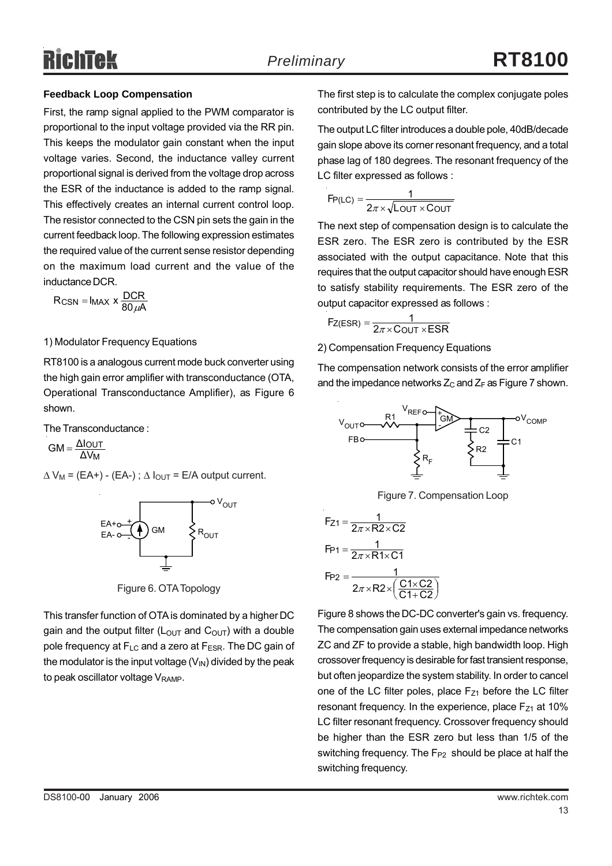### **Feedback Loop Compensation**

First, the ramp signal applied to the PWM comparator is proportional to the input voltage provided via the RR pin. This keeps the modulator gain constant when the input voltage varies. Second, the inductance valley current proportional signal is derived from the voltage drop across the ESR of the inductance is added to the ramp signal. This effectively creates an internal current control loop. The resistor connected to the CSN pin sets the gain in the current feedback loop. The following expression estimates the required value of the current sense resistor depending on the maximum load current and the value of the inductance DCR.

$$
R_{CSN} = I_{MAX} \times \frac{DCR}{80 \,\mu A}
$$

#### 1) Modulator Frequency Equations

RT8100 is a analogous current mode buck converter using the high gain error amplifier with transconductance (OTA, Operational Transconductance Amplifier), as Figure 6 shown.

The Transconductance :

M ΔV  $GM = \frac{\Delta I_{OUT}}{\Delta V_{tot}}$ 

 $\Delta V_M = (EA+) - (EA-)$ ;  $\Delta I_{OUT} = E/A$  output current.



Figure 6. OTA Topology

This transfer function of OTA is dominated by a higher DC gain and the output filter ( $L_{\text{OUT}}$  and  $C_{\text{OUT}}$ ) with a double pole frequency at F<sub>LC</sub> and a zero at F<sub>ESR</sub>. The DC gain of the modulator is the input voltage  $(V_{\text{IN}})$  divided by the peak to peak oscillator voltage  $V<sub>RAMP</sub>$ .

The first step is to calculate the complex conjugate poles contributed by the LC output filter.

The output LC filter introduces a double pole, 40dB/decade gain slope above its corner resonant frequency, and a total phase lag of 180 degrees. The resonant frequency of the LC filter expressed as follows :

$$
F_{P(LC)} = \frac{1}{2\pi \times \sqrt{L_{OUT} \times C_{OUT}}}
$$

The next step of compensation design is to calculate the ESR zero. The ESR zero is contributed by the ESR associated with the output capacitance. Note that this requires that the output capacitor should have enough ESR to satisfy stability requirements. The ESR zero of the output capacitor expressed as follows :

$$
F_{Z(ESR)} = \frac{1}{2\pi \times COUT \times ESR}
$$

2) Compensation Frequency Equations

The compensation network consists of the error amplifier and the impedance networks  $Z_c$  and  $Z_F$  as Figure 7 shown.



Figure 7. Compensation Loop

$$
F_{Z1} = \frac{1}{2\pi \times R2 \times C2}
$$
  
\n
$$
F_{P1} = \frac{1}{2\pi \times R1 \times C1}
$$
  
\n
$$
F_{P2} = \frac{1}{2\pi \times R2 \times \left(\frac{C1 \times C2}{C1 + C2}\right)}
$$

Figure 8 shows the DC-DC converter's gain vs. frequency. The compensation gain uses external impedance networks ZC and ZF to provide a stable, high bandwidth loop. High crossover frequency is desirable for fast transient response, but often jeopardize the system stability. In order to cancel one of the LC filter poles, place  $F_{Z1}$  before the LC filter resonant frequency. In the experience, place  $F_{Z1}$  at 10% LC filter resonant frequency. Crossover frequency should be higher than the ESR zero but less than 1/5 of the switching frequency. The  $F_{P2}$  should be place at half the switching frequency.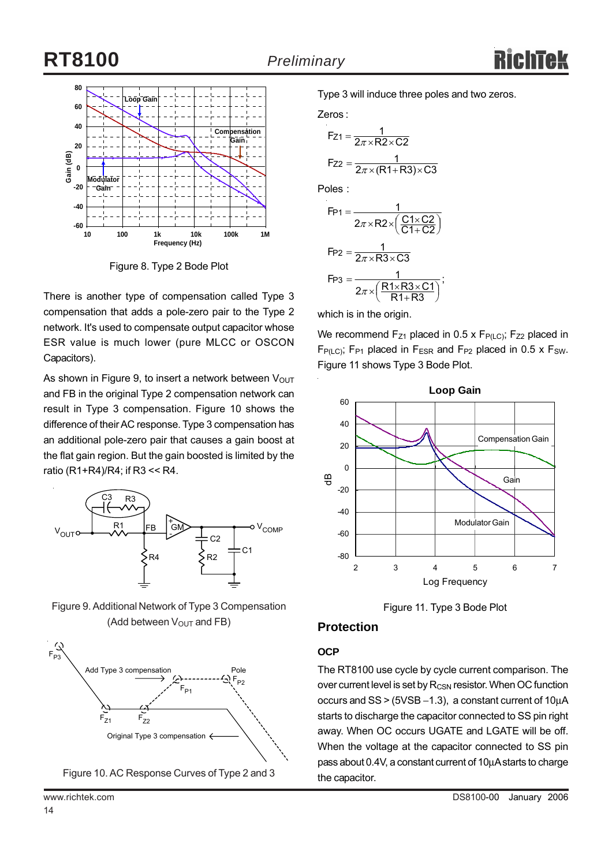# **RT8100** *Preliminary*



Figure 8. Type 2 Bode Plot

There is another type of compensation called Type 3 compensation that adds a pole-zero pair to the Type 2 network. It's used to compensate output capacitor whose ESR value is much lower (pure MLCC or OSCON Capacitors).

As shown in Figure 9, to insert a network between  $V_{\text{OUT}}$ and FB in the original Type 2 compensation network can result in Type 3 compensation. Figure 10 shows the difference of their AC response. Type 3 compensation has an additional pole-zero pair that causes a gain boost at the flat gain region. But the gain boosted is limited by the ratio (R1+R4)/R4; if R3 << R4.



Figure 9. Additional Network of Type 3 Compensation (Add between  $V_{\text{OUT}}$  and FB)





Type 3 will induce three poles and two zeros.

Zeros :

$$
F_{Z1} = \frac{1}{2\pi \times R2 \times C2}
$$

$$
F_{Z2} = \frac{1}{2\pi \times (R1 + R3) \times C3}
$$

Poles :

$$
F_{P1} = \frac{1}{2\pi \times R2 \times \left(\frac{C1 \times C2}{C1 + C2}\right)}
$$

$$
F_{P2} = \frac{1}{2\pi \times R3 \times C3}
$$

$$
F_{P3} = \frac{1}{2\pi \times \left(\frac{R1 \times R3 \times C1}{R1 + R3}\right)},
$$

which is in the origin.

We recommend  $F_{Z1}$  placed in 0.5 x  $F_{P(LC)}$ ;  $F_{Z2}$  placed in  $F_{P(LC)}$ ; F<sub>P1</sub> placed in F<sub>ESR</sub> and F<sub>P2</sub> placed in 0.5 x F<sub>SW</sub>. Figure 11 shows Type 3 Bode Plot.



Figure 11. Type 3 Bode Plot

### **Protection**

### **OCP**

The RT8100 use cycle by cycle current comparison. The over current level is set by  $R_{\text{CSN}}$  resistor. When OC function occurs and SS > (5VSB −1.3), a constant current of 10μA starts to discharge the capacitor connected to SS pin right away. When OC occurs UGATE and LGATE will be off. When the voltage at the capacitor connected to SS pin pass about 0.4V, a constant current of 10μA starts to charge the capacitor.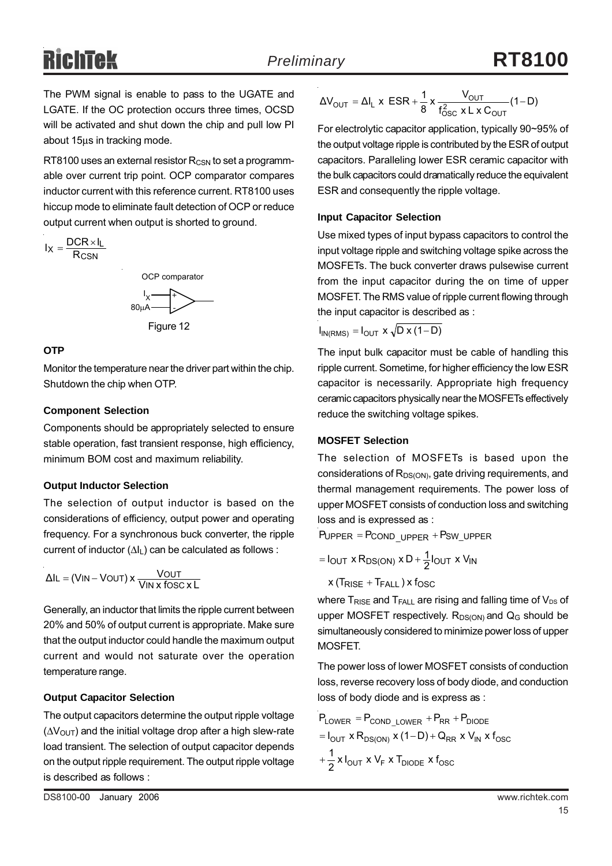The PWM signal is enable to pass to the UGATE and LGATE. If the OC protection occurs three times, OCSD will be activated and shut down the chip and pull low PI about 15μs in tracking mode.

RT8100 uses an external resistor  $R_{\text{CSN}}$  to set a programmable over current trip point. OCP comparator compares inductor current with this reference current. RT8100 uses hiccup mode to eliminate fault detection of OCP or reduce output current when output is shorted to ground.

$$
I_X = \frac{DCR \times I_L}{R_{CSN}}
$$
\n
$$
OCP \text{ comparator}
$$
\n
$$
I_X \longrightarrow
$$
\n
$$
80 \mu A
$$



### **OTP**

Monitor the temperature near the driver part within the chip. Shutdown the chip when OTP.

#### **Component Selection**

Components should be appropriately selected to ensure stable operation, fast transient response, high efficiency, minimum BOM cost and maximum reliability.

### **Output Inductor Selection**

The selection of output inductor is based on the considerations of efficiency, output power and operating frequency. For a synchronous buck converter, the ripple current of inductor  $(\Delta I_L)$  can be calculated as follows :

$$
\Delta I L = (VIN - VOUT) \times \frac{VOUT}{VIN \times fOSC \times L}
$$

Generally, an inductor that limits the ripple current between 20% and 50% of output current is appropriate. Make sure that the output inductor could handle the maximum output current and would not saturate over the operation temperature range.

### **Output Capacitor Selection**

The output capacitors determine the output ripple voltage  $(\Delta V_{\text{OUT}})$  and the initial voltage drop after a high slew-rate load transient. The selection of output capacitor depends on the output ripple requirement. The output ripple voltage is described as follows :

$$
\Delta V_{\text{OUT}} = \Delta I_{L} \times \text{ESR} + \frac{1}{8} \times \frac{V_{\text{OUT}}}{f_{\text{OSC}}^{2} \times L \times C_{\text{OUT}}} (1 - D)
$$

For electrolytic capacitor application, typically 90~95% of the output voltage ripple is contributed by the ESR of output capacitors. Paralleling lower ESR ceramic capacitor with the bulk capacitors could dramatically reduce the equivalent ESR and consequently the ripple voltage.

### **Input Capacitor Selection**

Use mixed types of input bypass capacitors to control the input voltage ripple and switching voltage spike across the MOSFETs. The buck converter draws pulsewise current from the input capacitor during the on time of upper MOSFET. The RMS value of ripple current flowing through the input capacitor is described as :

$$
I_{IN(RMS)} = I_{OUT} \times \sqrt{D \times (1 - D)}
$$

The input bulk capacitor must be cable of handling this ripple current. Sometime, for higher efficiency the low ESR capacitor is necessarily. Appropriate high frequency ceramic capacitors physically near the MOSFETs effectively reduce the switching voltage spikes.

### **MOSFET Selection**

The selection of MOSFETs is based upon the considerations of  $R_{DS(ON)}$ , gate driving requirements, and thermal management requirements. The power loss of upper MOSFET consists of conduction loss and switching loss and is expressed as :

 $P_{\text{UPPER}} = P_{\text{COND\_UPPER}} + P_{\text{SW\_UPPER}}$ 

$$
= I_{OUT} \times R_{DS(ON)} \times D + \frac{1}{2} I_{OUT} \times V_{IN}
$$

 $x$  (T $_{\rm RISE}$  + T $_{\rm FALL}$  ) x f $_{\rm OSC}$ 

where  $T_{RISE}$  and  $T_{FALL}$  are rising and falling time of  $V_{DS}$  of upper MOSFET respectively.  $R_{DS(ON)}$  and  $Q_G$  should be simultaneously considered to minimize power loss of upper MOSFET.

The power loss of lower MOSFET consists of conduction loss, reverse recovery loss of body diode, and conduction loss of body diode and is express as :

$$
P_{LOWER} = P_{COND\_LOWER} + P_{RR} + P_{DIODE}
$$

$$
= I_{OUT} \times R_{DS(ON)} \times (1 - D) + Q_{RR} \times V_{IN} \times f_{OSC}
$$

 $\frac{1}{2}$  x I<sub>OUT</sub> x V<sub>F</sub> x T<sub>DIODE</sub> x f<sub>OSC</sub>  $+\frac{1}{2}$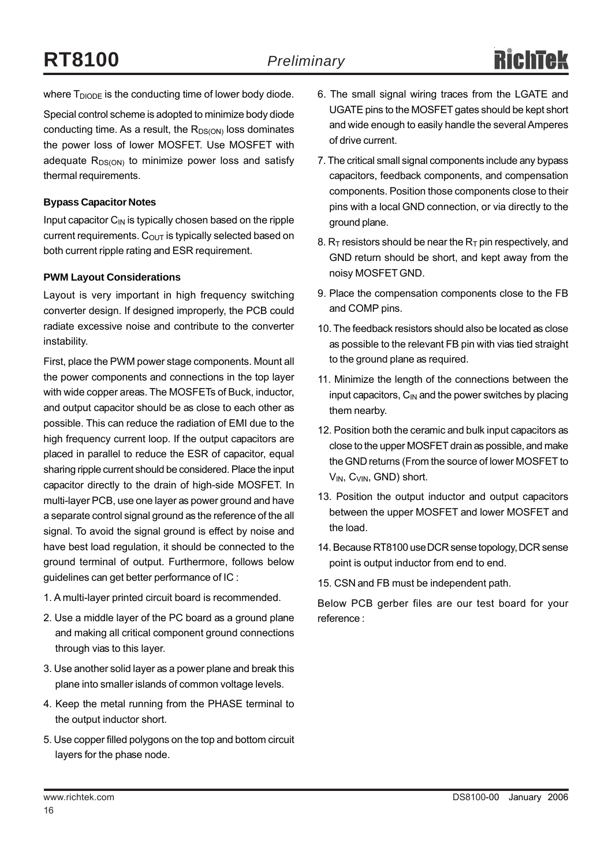where  $T_{DIODE}$  is the conducting time of lower body diode.

Special control scheme is adopted to minimize body diode conducting time. As a result, the  $R_{DS(ON)}$  loss dominates the power loss of lower MOSFET. Use MOSFET with adequate  $R_{DS(ON)}$  to minimize power loss and satisfy thermal requirements.

### **Bypass Capacitor Notes**

Input capacitor  $C_{\text{IN}}$  is typically chosen based on the ripple current requirements.  $C_{\text{OUT}}$  is typically selected based on both current ripple rating and ESR requirement.

#### **PWM Layout Considerations**

Layout is very important in high frequency switching converter design. If designed improperly, the PCB could radiate excessive noise and contribute to the converter instability.

First, place the PWM power stage components. Mount all the power components and connections in the top layer with wide copper areas. The MOSFETs of Buck, inductor, and output capacitor should be as close to each other as possible. This can reduce the radiation of EMI due to the high frequency current loop. If the output capacitors are placed in parallel to reduce the ESR of capacitor, equal sharing ripple current should be considered. Place the input capacitor directly to the drain of high-side MOSFET. In multi-layer PCB, use one layer as power ground and have a separate control signal ground as the reference of the all signal. To avoid the signal ground is effect by noise and have best load regulation, it should be connected to the ground terminal of output. Furthermore, follows below guidelines can get better performance of IC :

- 1. A multi-layer printed circuit board is recommended.
- 2. Use a middle layer of the PC board as a ground plane and making all critical component ground connections through vias to this layer.
- 3. Use another solid layer as a power plane and break this plane into smaller islands of common voltage levels.
- 4. Keep the metal running from the PHASE terminal to the output inductor short.
- 5. Use copper filled polygons on the top and bottom circuit layers for the phase node.
- 6. The small signal wiring traces from the LGATE and UGATE pins to the MOSFET gates should be kept short and wide enough to easily handle the several Amperes of drive current.
- 7. The critical small signal components include any bypass capacitors, feedback components, and compensation components. Position those components close to their pins with a local GND connection, or via directly to the ground plane.
- 8.  $R_T$  resistors should be near the  $R_T$  pin respectively, and GND return should be short, and kept away from the noisy MOSFET GND.
- 9. Place the compensation components close to the FB and COMP pins.
- 10. The feedback resistors should also be located as close as possible to the relevant FB pin with vias tied straight to the ground plane as required.
- 11. Minimize the length of the connections between the input capacitors,  $C_{IN}$  and the power switches by placing them nearby.
- 12. Position both the ceramic and bulk input capacitors as close to the upper MOSFET drain as possible, and make the GND returns (From the source of lower MOSFET to V<sub>IN</sub>, C<sub>VIN</sub>, GND) short.
- 13. Position the output inductor and output capacitors between the upper MOSFET and lower MOSFET and the load.
- 14. Because RT8100 use DCR sense topology, DCR sense point is output inductor from end to end.
- 15. CSN and FB must be independent path.

Below PCB gerber files are our test board for your reference :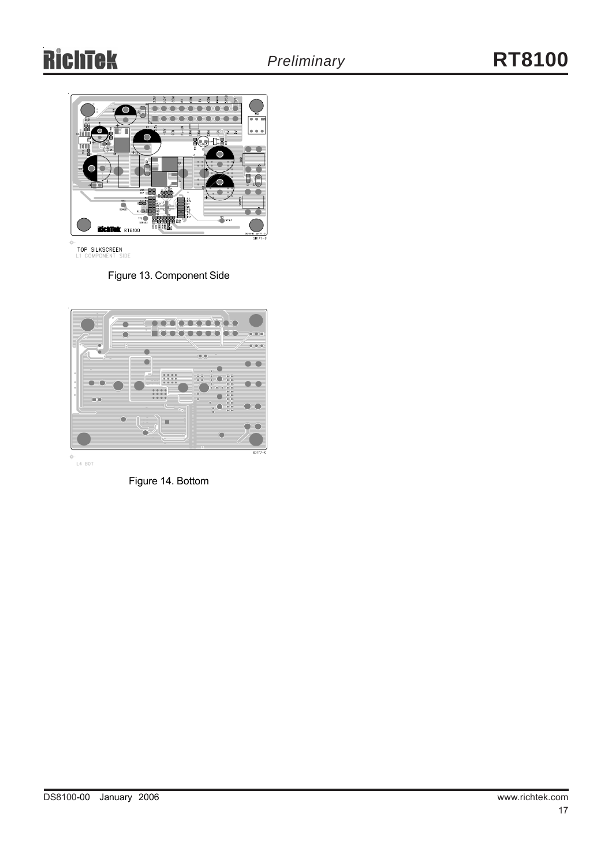

TOP SILKSCREEN<br>L1 Component side

Figure 13. Component Side